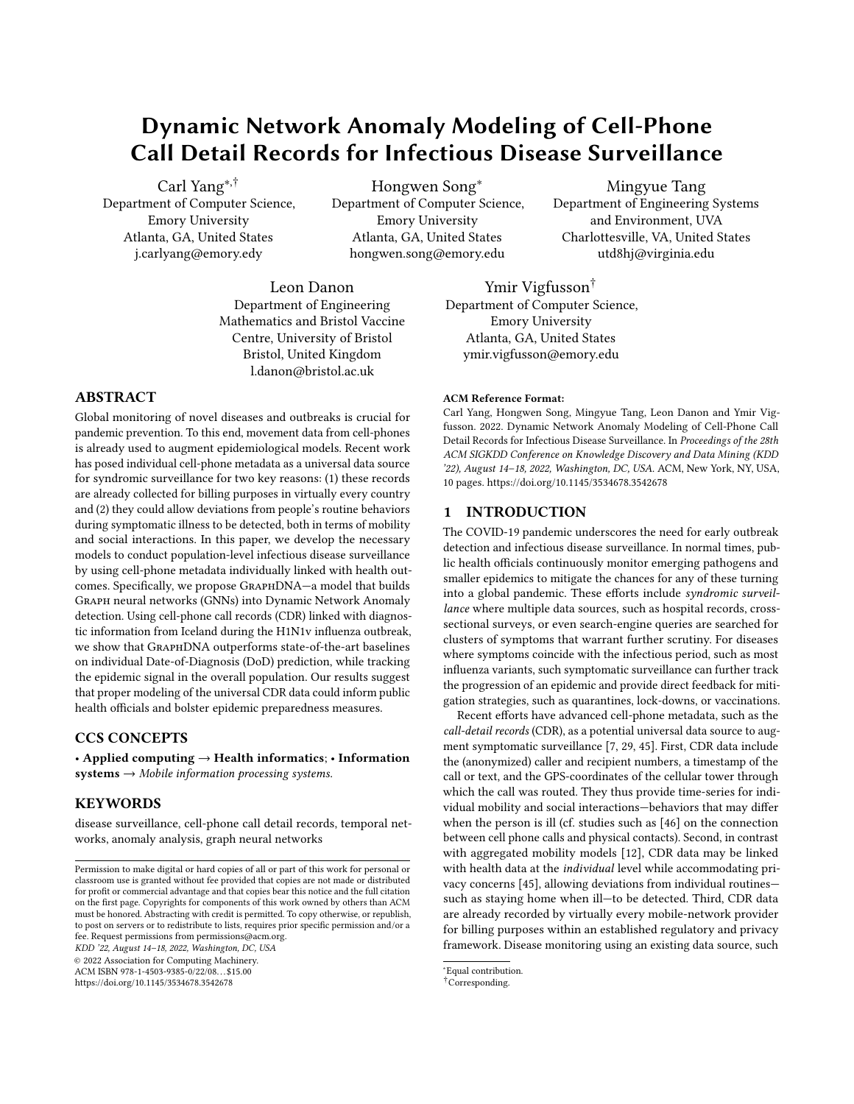# <span id="page-0-0"></span>Dynamic Network Anomaly Modeling of Cell-Phone Call Detail Records for Infectious Disease Surveillance

Carl Yang∗,† Department of Computer Science, Emory University Atlanta, GA, United States j.carlyang@emory.edy

Hongwen Song<sup>∗</sup> Department of Computer Science, Emory University Atlanta, GA, United States hongwen.song@emory.edu

Mingyue Tang Department of Engineering Systems and Environment, UVA Charlottesville, VA, United States utd8hj@virginia.edu

Leon Danon Department of Engineering Mathematics and Bristol Vaccine Centre, University of Bristol Bristol, United Kingdom l.danon@bristol.ac.uk

# ABSTRACT

Global monitoring of novel diseases and outbreaks is crucial for pandemic prevention. To this end, movement data from cell-phones is already used to augment epidemiological models. Recent work has posed individual cell-phone metadata as a universal data source for syndromic surveillance for two key reasons: (1) these records are already collected for billing purposes in virtually every country and (2) they could allow deviations from people's routine behaviors during symptomatic illness to be detected, both in terms of mobility and social interactions. In this paper, we develop the necessary models to conduct population-level infectious disease surveillance by using cell-phone metadata individually linked with health outcomes. Specifically, we propose GraphDNA—a model that builds Graph neural networks (GNNs) into Dynamic Network Anomaly detection. Using cell-phone call records (CDR) linked with diagnostic information from Iceland during the H1N1v influenza outbreak, we show that GraphDNA outperforms state-of-the-art baselines on individual Date-of-Diagnosis (DoD) prediction, while tracking the epidemic signal in the overall population. Our results suggest that proper modeling of the universal CDR data could inform public health officials and bolster epidemic preparedness measures.

#### CCS CONCEPTS

• Applied computing  $\rightarrow$  Health informatics; • Information  $systems \rightarrow Mobile information processing systems.$ 

# **KEYWORDS**

disease surveillance, cell-phone call detail records, temporal networks, anomaly analysis, graph neural networks

KDD '22, August 14–18, 2022, Washington, DC, USA

© 2022 Association for Computing Machinery.

ACM ISBN 978-1-4503-9385-0/22/08. . . \$15.00

<https://doi.org/10.1145/3534678.3542678>

Ymir Vigfusson† Department of Computer Science, Emory University Atlanta, GA, United States ymir.vigfusson@emory.edu

#### ACM Reference Format:

Carl Yang, Hongwen Song, Mingyue Tang, Leon Danon and Ymir Vigfusson. 2022. Dynamic Network Anomaly Modeling of Cell-Phone Call Detail Records for Infectious Disease Surveillance. In Proceedings of the 28th ACM SIGKDD Conference on Knowledge Discovery and Data Mining (KDD '22), August 14–18, 2022, Washington, DC, USA. ACM, New York, NY, USA, [10](#page-0-0) pages.<https://doi.org/10.1145/3534678.3542678>

### 1 INTRODUCTION

The COVID-19 pandemic underscores the need for early outbreak detection and infectious disease surveillance. In normal times, public health officials continuously monitor emerging pathogens and smaller epidemics to mitigate the chances for any of these turning into a global pandemic. These efforts include syndromic surveillance where multiple data sources, such as hospital records, crosssectional surveys, or even search-engine queries are searched for clusters of symptoms that warrant further scrutiny. For diseases where symptoms coincide with the infectious period, such as most influenza variants, such symptomatic surveillance can further track the progression of an epidemic and provide direct feedback for mitigation strategies, such as quarantines, lock-downs, or vaccinations.

Recent efforts have advanced cell-phone metadata, such as the call-detail records (CDR), as a potential universal data source to augment symptomatic surveillance [7, 29, 45]. First, CDR data include the (anonymized) caller and recipient numbers, a timestamp of the call or text, and the GPS-coordinates of the cellular tower through which the call was routed. They thus provide time-series for individual mobility and social interactions—behaviors that may differ when the person is ill (cf. studies such as [46] on the connection between cell phone calls and physical contacts). Second, in contrast with aggregated mobility models [12], CDR data may be linked with health data at the individual level while accommodating privacy concerns [45], allowing deviations from individual routines such as staying home when ill—to be detected. Third, CDR data are already recorded by virtually every mobile-network provider for billing purposes within an established regulatory and privacy framework. Disease monitoring using an existing data source, such

Permission to make digital or hard copies of all or part of this work for personal or classroom use is granted without fee provided that copies are not made or distributed for profit or commercial advantage and that copies bear this notice and the full citation on the first page. Copyrights for components of this work owned by others than ACM must be honored. Abstracting with credit is permitted. To copy otherwise, or republish, to post on servers or to redistribute to lists, requires prior specific permission and/or a fee. Request permissions from permissions@acm.org.

<sup>∗</sup>Equal contribution.

<sup>†</sup>Corresponding.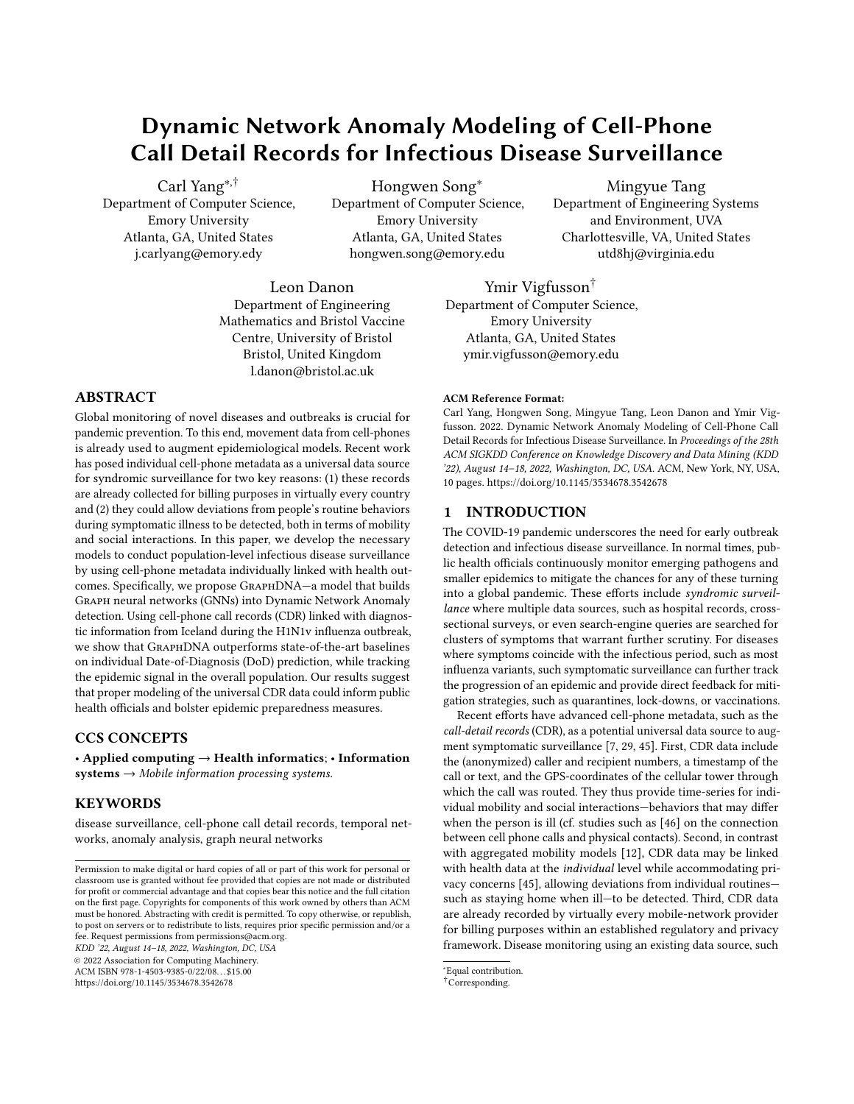as CDR logs, is easier and cheaper than alternatives.Important statistical Gaussian tail probability (GTP) model to predict disethical and privacy concerns can be addressed using data deiden-ease diagnosis from anomalies in the social behavior dynamics.

ti cation protocols between health o cials and mobile operators (cf. [Appendix A](#page-9-0)). Finally, cell-phone use is ubiquitous (105 mobile subscriptions per 100 inhabitants; 97% of the world population covered by a mobile network) whereas Internet access is less pervasive namic GNNs and other temporal or networked anomaly detection (57% of the world population) and heavily skewed towards auent regions (19% of individuals in the least developed countries (LDC) have Internet access), according to 2020 estimates Many lower and middle-income countries lack resources for direct public health monitoring, standing to benet most from inexpensive disease monitors.

Key technical challenges must be resolved to make individual ing linked health and CDR data from the H1N1v epidemic in Iceland in 2009, Vigfussoret al.[45] showed that individual mobility is reduced around the day of in uenza-like illness diagnosis. While it is interesting that infection produces measurable behavioral changes from sparse CDR data, the key question is whether easurable behavioral changes imply infection symptomsich would permit estimation of the number of people that are taken ill at a point in time (symptomatic prevalence). This direction is challenging for several reasons, including networked signals (involving individuals' behaviors regarding both themselves and their social contacts), temporal routines (requiring the capture of dynamic behavioral and only weakly correlated with behavioral anomalies).

Here, we work towards the goal of estimating population-level disease prevalence. Formulating the problem as an individual disease prediction task, we augment the existing individual-level features [45] with a social context to capture regular contacts and group interactions to better distill routine social interaction patterns. Central to our approach are graph neural networks (GNNs) [21, 28, 39] that have recently been adapted to model dynamic and temporal networks. Existing research into dynamic GNNs has predominantly been focused on modeling network formation and evolution in the context of link prediction 13, 35, 51, but such GNNs are not yet suited to tracking dynamic social behaviors of individuals and their routines. On the other hand, several traditional (non-GNN-based) dynamic and temporal network models have been designed to capture emergent patterns during network evolution, and to identify abnormal individuals or subgraph<sub>3</sub>, [34, 47]. Yet these approaches were also less suitable, since they are no designed to incorporate node features or be trained for specic tasks, such as disease prediction.

In this paper, we propose a novel integrated GNN for namic Network Anomalymodeling (GraphDNA) to meet the goal of detecting deviations from an individual's routine social behaviors for predicting disease onset. Broad@raphDNA combines two key modules concerning dynamic social behavior prediction and anomaly-based disease prediction. The former module employs a One of the most common scenarios of anomaly detection is on graph convolutional neural network (GCN) model & to capture individuals' social behaviors and builds it into a long-short term memory (LSTM) mode<sup>[23]</sup> to record the dynamic patterns of such behaviors. The latter module then combines a data-driven learnable logistic regression (LR) mode 24 and a temporal-pattern-oriented

CDR-based methods practical for epidemiological surveillance. Us-Finally, we analyze key design decisions, hyper-parameter settings, In our experiments on the same labeled dataset from the H1N1v epidemic in Iceland [5], we evaluateGraphDNA by comparison to the most relevant baselines from state-of-the-art including dymodels. With a focus on estimating the Date-of-Diagnosis (DoD) of diagnosed individuals, we demonstrate the advantages of our GraphDNA method on the generic task of supervised dynamic network anomaly detection. We also apply the individual inference ofGraphDNA to the larger population, tracking the epidemic curve within the diagnosed population and, further, nding an illness-associated behavioral change signal in the whole population. and provide an e ciency study ofGraphDNA.

# 2 BACKGROUND

# 2.1 Syndromic Surveillance

patterns), and weak supervision (because disease labels are sparse<sup>ources</sup> by using aggregated search engine queries for u-like symp-Keeping with technological developments and new data sources, syndromic surveillance systems erged in the 2000s to seek to use existing health data in real time to provide immediate analysis and feedback to those charged with investigation and follow-up of potential outbreaks 22. In 2009, Google Flu ushered in the era of big data syndromic surveillance through passively collected data toms to estimate regional in uenza levels with a lag of only one day [19]. Google Flu's approach, however, was later found to have been awed, missing non-seasonal in uenza outbreaks and overestimating disease burden, and was shut down in 2015. Prominent researchers characterized the project's indi erence to supplementing the existing body of science and instead seeking to replace it with black-box models as an example of big data hubri§1. Research into other data sources for use in syndromic surveillance, such as social media, has followed [38], built around technologies used primarily in high-income countries.

> Aggregated CDR data, such as rates of population movement between cell-phone towers [8], have informed epidemiological models for cholera $\mathcal G$ , dengue fever 49, malaria [8, 48], Ebola [30], in uenza [44], and recently SARS-CoV-2 the pathogen that causes COVID-19 [12, 14]. Because these models lack linkage at the individual level, they rely on correlations between the aggregated <sub>t</sub>data and other datasets, thereby limiting their statistical power and generality [17]. Individual CDR data were used during COVID-19 to infer likely contacts of infection in Israel, with staunch privacy objections [20] (cf. Appendix A).

# 2.2 Dynamic Network Anomaly Modeling

Anomaly detection refers to the data mining process that measures the deviations of objects of interest from the majority grouß, [10]. sequential data (.g., time-series), where the algorithm is often composed by a sequence modeling part and a deviation scoring part [11]. For instance, 1, 16, 25, 33, 55] employ sequential neural networks such as LSTM and HTM (hierarchical temporal memory) to model sequential records and then access the likelihood of anomalies based on the models' predictions. Recent studies for many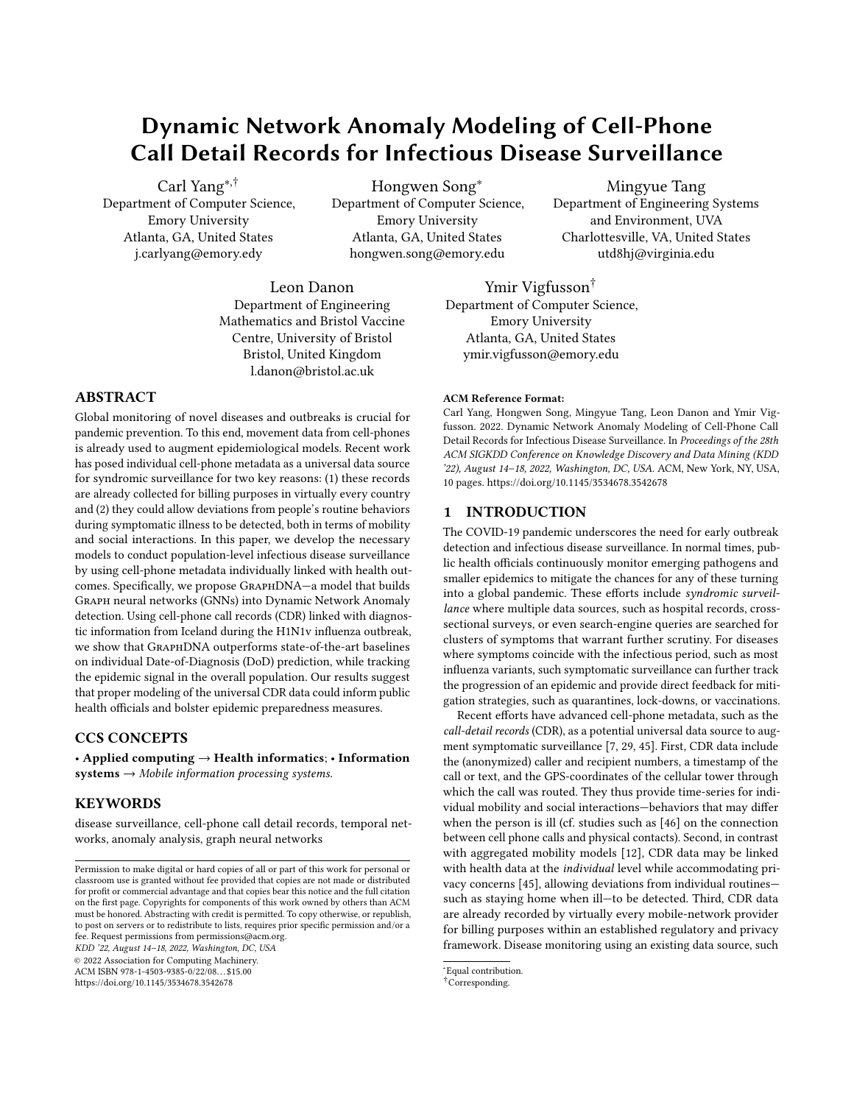emerging real-world applications concern the more complicated problem of anomaly detection on graph dat<sup>32</sup>. For example, [3, 34, 47] detect abnormal nodes in graphs based on their deviations from normal node clusters without supervision. **7** combines one-class classication with GNNs for graph anomaly detection in a supervised manner, whereas i models node and edge features using time-series. However, these methods are designed only for graphs with xed structure.

Real-world networks can be modeled as dynamic graphs to represent evolving objects and relationships among the  $250$ . Extensive research has been done into dynamic network modeling, including tasks such as temporal link prediction 3, 35, 51 and e cient graph streaming  $5, 15, 18$  none of which encompass anomaly detection. AddGrapb4 and NetWalk [53] are two methods that are closest to our setting of dynamic network anomaly modeling. AddGraph employs temporal GCN to detect anomalous edges but cannot trivially detect anomalous nodes, whereas NetWalk leverages a DeepWalk-based framework to detect both anomalous nodes and edges, but cannot readily incorporate node attributes or task-speci c supervision.

# 3 THE GRAPHDNA FRAMEWORK

#### 3.1 Dataset Analysis

Description. The data set from Iceland contains CDR data for 93,409 people (about a quarter of the Icelandic population) over a 3-year period beginning in February 2009, with 87,773 individuals making calls during the 1-year period beginning in February 2009 when the H1N1v epidemic occurred. The CDR records are linked with in uenza-like illness (ILI) diagnosis data for 1,434 individuals who provide a spatially representative samp $\mathbf{R}_i$  ( 0"86) of the homogeneous Icelandic population  $\frac{45}{10}$ ; we focus only on an individual's rst ILI diagnosis. Each record contains the encrypted source and destination numbers for a call placed over a cell-phone tower, the GPS coordinates of the cell-phone tower, a timestamp, and the duration of call; similar metadata for text messages (SMS) are also complicated GCN designs to model link features. included in the CDR data. No content of calls or text messages are included. The linked health dataset includes the encrypted number and the Date of Diagnosis (DoD) of ILI by healthcare providers in Iceland for the owner of that number.

The CDR data reveals rich movement and social patterns. Common contacts and their own interactions give a proxy for daily communication networks. The GPS location of a call gives a proxy for a person's location; a series of such locations provides a proxy for movement; and a series of movements can act as proxy for routine patterns, such as weekday commute to and from work. Existing studies identi ed that the movement patterns were di erent on the day before the DoD and up to three days after were signi cantly di erent from regular days, speci cally that 1.1 1.4 fewer unique tower locations were visited on average **4**. They also found that signi cantly fewer calls were placed but that calls were longer on the day following diagnosis. Prior work did not consider more advanced movement, social features, or dynamics.

Node features. We conducted principled analysis of the many node features that can be constructed from the CDR data, including location\_num (number of unique tower recorded), avg\_len (average

call length), tot\_len (total call length), call\_cnt (call count), degree (number of contacts), clus\_coe (cluster coecient), abg\_lon (average longitude), avg\_lat (average latitude), all of which are varying by day. Intuitively, multiple features may indicate disease onset or diagnosis. We studied feature correlations based on the days from DoD to quantify such potential. Speci cally, since these predominantly ordinal attributes usually did not follow normal distributions, we measured feature correlations using the Spearman's Correlation Coe cient (SCC) [42].

Link features. To account for people's connections in the phone call network, we conduct theocial behaviors fevery individual. that includes their own behaviors (node features) together with those of their neighbors in the phone call network. For simplicity, we reduce social behaviors to features of a node together with the aggregate of the node features of its direct neighbors. In addition to binary indicators of whether two people were in contact during a day, the CDR data further allow us to extract various link features, such as call counts and (total) call durations. Before designing more complicated models beyond elementary GC28 [ we extend our data analysis over the correlations with days from DoD to study the potential impact of such link features in disease prediction.

Diagnostic features. Unlike during COVID-19, no large-scale control interventions (such as lock-downs or restaurant closures in were imposed during the H1N1 epidemic in Iceland [41].

Figure 1 demonstrates the results of our node and link feature analysis based on their correlations with days from diagnosis based on the training data. Although the absolute correlation values are small, they are statistically signi cant with?-value 0.01, and are good indicators towards the utilities of these single features (as concluded from a similar analysis in [5]). Based on the correlation scores, we set an empirical threshold to select the top ve node features as a trade-o between model capacity and simplicity. For the link features, we found that unweighted links already encompass the strongest signal towards the DoD, obviating the need for more

Combining nodes and links, in Figure 2, we visualize the dynamic social behaviors of individuals via three prominent node features aggregated through the (weighted/unweighted) links in the direct neighborhoods, where deviations are clearly observed around the DoD. Such observations motivate our goal of predicting symptomatic but unreported disease infections based on dynamic network anomalies in the CDR data.

Other features. While we rely on analyzing real data, both to identify the node and link features and to justify the design of our models, we underscore the greedy nature of such analysis and the potential over-simpli cation of the problem. However, the focus of our work is to provide the rst fundamental framework of symptomatic disease prediction based on dynamic network anomalies in CDR data, and believe that model simplicity is crucial.

### 3.2 Problem Formulation

Input. From CDR, we construct daily snapshots of the cell-phone call network as graph $\mathbf{S} = f^{-1} \mathbf{C} = 1 + \cdot^{-1} \mathbf{C} \cdot^{-1} \mathbf{C} \mathbf{Q}_{\geq 1}$ . Here,+ is the set of all vertices (individuals) who have at least one call record, <sup>1 $\degree$ </sup> is the set of unweighted directed links at timestamp (d&))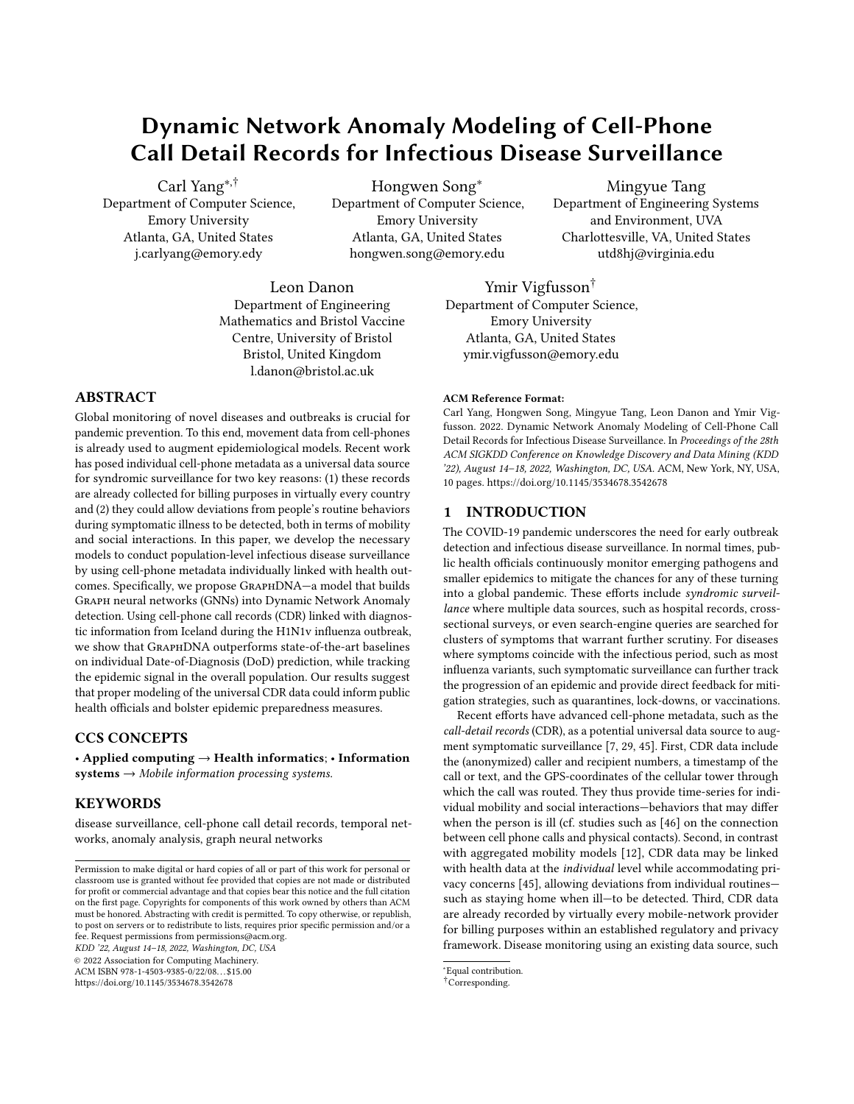one year period. 2 R<sup>j+ 0</sup>j <sup>j) j</sup> stores the day of ILI diagnosis (DoD) labels of people in  ${}^{0}$  ( ${}^{0}$   $_{8}^{0}$  = 1 if E<sub>8</sub> has a positive diagnosis on day C and 0 otherwise). Recovery from in uenza may take several days and anomalous behavior is often observed in the several days surrounding the DoD [45]. We thus follow common practice [9] and prior work to de ne the extended DoD labels, where  $\frac{10}{8}$  = 1 if  $\sim_8^{100}$  = 1 and C2  $\mathcal{X}^0$  1•  $\mathcal{O}$ , 3¼ and 0 otherwise.

Output. The primary goal of our work is to predict the DoD db 2  $+$ <sup>0</sup>, through modeling the connection between people's dynamic social behaviors and disease diagnoses based on the phone call graphsG given above. Beyond <sup>0</sup>, the model should also generalize to the larger population+, where much of the diagnosis labels are unavailable, and yet provide disease prediction whether and when

Figure 1: Node and link feature analysis : Spearman's CC between social behaviors and days from diagnosis. We set an empirical ehavioral anomalies in the labeled input. Such estimates could threshold (dashed line) to choose relevant node features for inclusion<sub>e</sub> used to monitor the e ective disease burden of a population Unweighted links links without additional features were found to be the most useful. an individual gets infected and shows symptoms consistent with during an epidemic, as long as some data are available about how symptoms a ect behavior. Estimates could be further broken down

by, e.g., age, region, sub-populations, as needed to inform policy and intervention strategy [45].

# 3.3 Model Overview

The main aim of our work is to model people's behaviors  $\omega$ from CDR data, and measure deviations from routine to facilitate symptomatic surveillance. To meet this goal, we design a twostage framework: (1) dynamic network behavior prediction, and (2) anomaly-based disease prediction, which can be further integrated through iterative training.

We survey our propose GraphDNA framework in Figure 3. In the rst stage, a sequential graph representation learning module is designed to capture people's daily behaviors in phone call graphs G and then make consecutive predictions on their next-day behaviors. For people with diagnosis labels, only data on healthy days are used in this stage. In the second stage, an anomaly detection module is designed to compare the predicted behaviors with the true behaviors on each day and make predictions about whether a person might have fallen ill and show symptoms of H1N1v on that day.

We use a subset of people with diagnosis labe $l_{\rm kin}$  +  $^0$  and the entire set of non-diagnosed people  $+$ <sup>0</sup> to train the dynamic social behavior prediction module in stage one. We then use a disjoint subset of people with diagnosis label $\frac{2}{\pi}$  +  $^0$  to train

Figure 2: Dynamic social behaviors of diagnosed people vs. days from DoD: We observe clear deviations of social behaviors around the DoD. The shaded interval marks the period betwee  $\theta$ isjoint set $+\theta$  is used to iteratively validate and improve days -1 to +3 days from DoD when the largest deviations are observethe model design as well as tune the model hyper-parameters, and the anomaly-based disease prediction module in stage two. Another

i.e,  $4^{^\prime\rm C}_{8\,9}$  = 1 if there is at least one call fron  $_{\rm E}$  to  $_{\rm E_9}$  on dayC and 0 otherwise, and  $1^\circled{c}$  denotes the behavioral features at timestamp C i.e,  $5^{\degree}$  2 R denotes the individual behavioral features of E<sub>8</sub> on dayC. We model the complete year, between 02/01/2009 to 02/01/2010, to capture the entire 2009 H1N1v outbreak in Iceland, and useC2 f $0$ <sup>+</sup>  $"$   $"$   $")$  = 364g to denote the relative days within that time frame.

Within +, we pay special attention to the subse $\mathfrak{k}$  + who had a record for an in uenza-like illness (ILI) diagnosis during the

the nal disjoint set+<sub>test</sub>  $+{}^{0}$  is held out until the nal testing and reporting of the results.

# 3.4 Dynamic Social Behavior Prediction Module

To model people's routine behavior over time in cell-phone call graphs, we design a dynamic graph model to predict people's behaviors at each dayi.(e,  $5^{^\text{10}}$ •8E 2 +•C2 f1•2•"""•)g) based on their own past behaviorsi (e, f  $5^{^{100}}$  j  $C = 0$  " " "  $\bullet$  C 1g) and the past behaviors of their neighbors  $\phi$ , f  $5^{^{\prime}C^{0}}_{0}$  j  $C^{0}$  = 0• " " "  $\bullet$  C 1; E<sub>9</sub> 2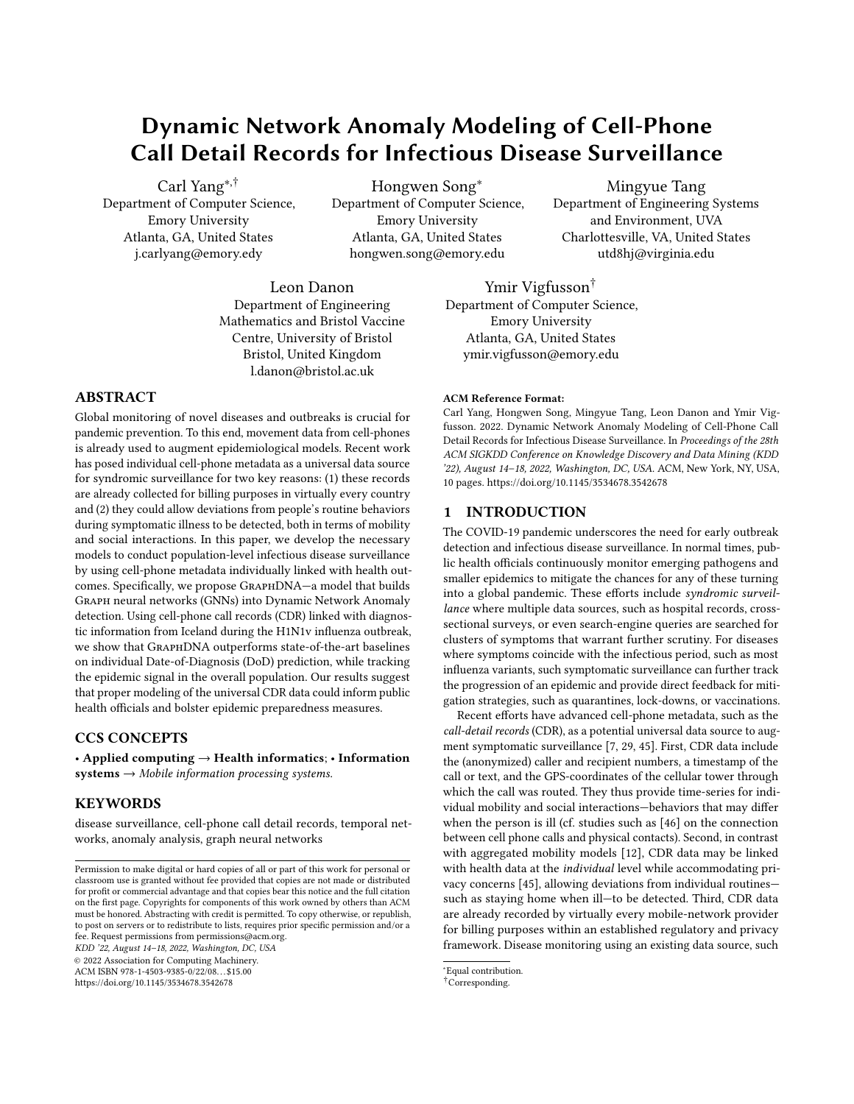Figure 3: An overview of ouDynamic Network Anomalymodeling (GraphDNA).

N<sup>1</sup>E<sup>e </sup>C<sup>6</sup> °g, whereN<sup>1</sup>Ee<sup>e</sup>C<sup>6</sup> ° denotes the -hop neighborhood of  $E_8$  in graph  $10^{\circ}$ . To e ciently encode such dynamic social behaviors, we design an integrated model of GC28] and LSTM [37] that we train on the node set  $= + \frac{1}{\tan}$  [ + + 0.

Social behavior modeling. Motivated by recent advances in GCNs for node representation learning in content-rich network 28, we employ GCN for modeling of static social behaviors of individuals based on the neighborhood of each node on each day in the cellphone call graphsi*(*e,  $\overline{5}^{10}$ °  $\overline{5}^{10}$  j 92 N $^1$ E C $\overline{}}$ °  $^0$  °8E 2 + $\overline{)}$  C2 f 0•1• " " " •)g). We encode this information into representation vectors  $\frac{10^{9}}{8}$   $^{\circ}$  through recursive operations

$$
{}^{10^{11.0}} = q \t {}^{10^{10.10}} \t {}^{10^{11.00}} \t , \t {}^{11.0} \t , \t {}^{11.0} \t . \t (1)
$$

where  $\ ^{1\textsf{C}}$  is the normalized adjacency matrix with self-loop on day  $G,$   $\left(1, \frac{1}{2}\right)$  and 1<sup>1, o</sup> are the learnable parameters of the GCN model, q is a non-linear activation function such as LeakyReLU, and f 1∙2•"""∙ g.  $\sqrt[-10^{\circ}]{}$  =  $\sqrt[-10^{\circ}]{}$  is the feature matrix on da $C$  Based on our data analysis in Section 3.1, we used the binary directed adjacency matrix  $\overline{1^{\mathbb{C}^2}}$  2 f 0 $\overline{10^{\#}}$   $\overline{4}$  and real-valued feature matrix  $1^{\circ}$  2 R<sup>#</sup> of selected node features. The number of GCN layers

(also denoted  $a_{1}$ ) is a tunable hyper-parameter. To capture a distillation of common patterns, we share and train the same GCN model across all nodes  $2 +$  and all days  $2f0$   $\cdot$  "" "  $\cdot$  g.

Dynamic social behavior modeling. To integrate the history of past behaviors and model the dynamics of social behaviors, we fur- ! 3 is another tunable hyper-parameter. ther employ an LSTM model[7] based on the outputs of the GCN model. Speci cally, given the sequence of representation vectors as the outputs of the GCN model  $\varphi$ , f  $\begin{bmatrix} 1^{\circ}\mathbb{C} & \mathbb{C} & \mathbb{C} \end{bmatrix}$   $C = 0$   $\mathbb{C}^n \mathbb{C}^n$   $\mathbb{C}^n \cdot \mathbb{C}^n$   $\mathbb{C}^n \cdot \mathbb{C}^n$ the LSTM model seeks to predict the node features of the next days (i.e,  $f_5^{10}$  jC= 1• " " " •)g 8E<sub>8</sub> 2 + ), which is computed through the standard recursive operations of LSTM following 7. The number of LSTM layers  $2$  is a tunable hyper-parameter. Given an input behavior representation of a nod on dayC(i.e,  $\frac{10}{8}$ ), the nal output of the LSTM model is the predicted behavior (node feature) of  $\mathsf E_8$  on dayC  $_1$  1 (i.e,  $\mathsf S_8^{^1\mathrm C_8\;1^0\mathsf o}.$ 

To capture the common patterns, we share and train the same LSTM model across the representation and feature sequences of all nodes $E_8$  2 +, which we do in an end-to-end fashion jointly with the GCN model through the following objective function:

$$
\begin{array}{ccccc}\n\bullet & \bullet & \bullet & \\
\text{min} & & \downarrow_{1} & \leftarrow_{3}^{1}C_{\bullet} & \leftarrow_{3}^{1}C_{\bullet} & \\
\bullet & & \downarrow_{1}^{1} & \leftarrow_{2}C_{\bullet} & \leftarrow_{1} & \\
\bullet & & \bullet & & \\
\bullet & & & \downarrow_{1}^{1} & \leftarrow_{1}C_{\bullet} & \leftarrow \\
\bullet & & & \downarrow_{1}^{1} & \leftarrow_{1}C_{\bullet} & \leftarrow \\
\bullet & & & \downarrow_{1}^{1} & \leftarrow_{1}C_{\bullet} & \leftarrow \\
\bullet & & & \downarrow_{1}^{1} & \leftarrow_{1}C_{\bullet} & \leftarrow \\
\bullet & & & \downarrow_{1}^{1} & \leftarrow_{1}C_{\bullet} & \leftarrow \\
\bullet & & & \downarrow_{1}^{1} & \leftarrow_{1}C_{\bullet} & \leftarrow \\
\bullet & & & \downarrow_{1}^{1} & \leftarrow_{1}C_{\bullet} & \leftarrow \\
\bullet & & & \downarrow_{1}^{1} & \leftarrow_{1}C_{\bullet} & \leftarrow \\
\bullet & & & \downarrow_{1}^{1} & \leftarrow_{1}C_{\bullet} & \leftarrow \\
\bullet & & & \downarrow_{1}^{1} & \leftarrow_{1}C_{\bullet} & \leftarrow \\
\bullet & & & \downarrow_{1}^{1} & \leftarrow_{1}C_{\bullet} & \leftarrow \\
\bullet & & & \downarrow_{1}^{1} & \leftarrow_{1}C_{\bullet} & \leftarrow \\
\bullet & & & \downarrow_{1}^{1} & \leftarrow_{1}C_{\bullet} & \leftarrow \\
\bullet & & & \downarrow_{1}^{1} & \leftarrow_{1}C_{\bullet} & \leftarrow \\
\bullet & & & \downarrow_{1}^{1} & \leftarrow_{1}C_{\bullet} & \leftarrow \\
\bullet & & & \downarrow_{1}^{1} & \leftarrow_{1}C_{\bullet} & \leftarrow \\
\bullet & & & \downarrow_{1}^{1} & \leftarrow_{1}C_{\bullet} & \leftarrow \\
\bullet & & & \downarrow_{1}^{1} & \leftarrow_{1}C_{\bullet} & \leftarrow \\
\bullet & & & \downarrow_{1}^{1} & \leftarrow_{1}C_{\bullet} & \leftarrow \\
\bullet & & & \downarrow_{1}^{1} & \leftarrow_{1}C_{\bullet} & \leftarrow \\
\bullet & & & \downarrow_{1}^{1} & \leftarrow_{1}C_{\bullet} & \leftarrow \\
\bullet
$$

where  $\rightarrow$  and  $\rightarrow$  denote the parameters of the GCN model and LSTM model, respectively. Herb, $_1$  is a loss function such as MSE. We detail the training process in Algorithm 1.

#### 3.5 Anomaly-based Disease Prediction Module

We focus on the task of DoD prediction not only because we only have positive labels of diagnosed people in the dataset but also due to the crucial impact of accurate detection of patient DoD on disease transmission control. Following past studies and our data analysis in Section 3.1, our central hypothesis is that the DoD labels may be predicted to an extent based on people's deviations from their routine behaviors i(e, anomalies) as captured in the cell-phone call graphs.

To detect anomalies, we rst compute the deviation scores between the predicted behaviors and real behaviors for all people in another training se $\mathfrak{b}^2_\text{train}$  that is disjoint from+

$$
B_8^{10} = \xi_8^{10} \qquad \xi_8^{10} \qquad 8E_8 2 + \frac{2}{\text{train}} \cdot \text{C2 f1} \cdot 2 \cdot \text{m/s} \cdot \text{g'} \qquad (3)
$$

Every individual E<sub>8</sub> 2 +  $^{2}_{\text{train}}$  is associated with a sequence) of 1 -dimensional vectors $B_8^{10}$  jC= 1•2• " " " •)g, from which we will seek to predict the extended DoD lab $\mathbf{\hat{e}_{8}^{1C}}$  jC= 1•2• " " " •)g.

We design and experiment with three representative types of anomaly detection models based on the output of our dynamic social behavior prediction stage: (1) a deep learning model based on logistic regression (LR)2[4], (2) a statistical model based on Gaussian tail probabilities (GTP)][ and (3) a hybrid model that integrates the rst two.

Deep learning model. Since the DoD labels are binary, we devise a LR model for binary classi catio  $24$ . To mitigate noise and asynchronous anomalies across di erent features, we smooth the input sequences over a rolling window. We have

$$
r_8^{10} = f^{11} \cdot 196 \cdot 156^{10} \cdot 1068 \cdot 1582 + \frac{2}{\text{train}} \cdot 102 \cdot 11 \cdot 20 \cdot 11 \cdot 106 \cdot 106 \cdot 106 \cdot 106 \cdot 106 \cdot 106 \cdot 106 \cdot 106 \cdot 106 \cdot 106 \cdot 106 \cdot 106 \cdot 106 \cdot 106 \cdot 106 \cdot 106 \cdot 106 \cdot 106 \cdot 106 \cdot 106 \cdot 106 \cdot 106 \cdot 106 \cdot 106 \cdot 106 \cdot 106 \cdot 106 \cdot 106 \cdot 106 \cdot 106 \cdot 106 \cdot 106 \cdot 106 \cdot 106 \cdot 106 \cdot 106 \cdot 106 \cdot 106 \cdot 106 \cdot 106 \cdot 106 \cdot 106 \cdot 106 \cdot 106 \cdot 106 \cdot 106 \cdot 106 \cdot 106 \cdot 106 \cdot 106 \cdot 106 \cdot 106 \cdot 106 \cdot 106 \cdot 106 \cdot 106 \cdot 106 \cdot 106 \cdot 106 \cdot 106 \cdot 106 \cdot 106 \cdot 106 \cdot 106 \cdot 106 \cdot 106 \cdot 106 \cdot 106 \cdot 106 \cdot 106 \cdot 106 \cdot 106 \cdot 106 \cdot 106 \cdot 106 \cdot 106 \cdot 106 \cdot 106 \cdot 106 \cdot 106 \cdot 106 \cdot 106 \cdot 106 \cdot 106 \cdot 106 \cdot 106 \cdot 106 \cdot 106 \cdot 106 \cdot 106 \cdot 106 \cdot 106 \cdot 106 \cdot 106 \cdot 106 \cdot 106 \cdot 106 \cdot 106 \cdot 106 \cdot 106 \cdot 106 \cdot 106 \cdot 106 \cdot 106 \cdot 106 \cdot 106 \cdot 106 \cdot 106 \cdot 106 \cdot 106 \cdot 106 \cdot 106 \cdot 106 \cdot 106
$$

where $B_8^{10}$  = mean "" " $\bullet$  $B^{10}$  " $B^{10}$  " $B^{10}$ " "". We pad both ends of the sequence with zeroes. Here, the window sizeis a tunable hyper-parameter, is the sigmoid function, MLP is the multilayer perceptron with LeakyReLU activation, and the number of layers

The LR model is trained with the following objective function

$$
\min_{3} \frac{\tilde{O} \quad \tilde{O}}{E_8 2 + \frac{2}{\tan 6}} L_2 \frac{^{10} \cdot \mu_8^{10}}{8} \tag{5}
$$

where  $L_2$  is a loss function such as cross-entropy. To counter the propensity of LR to simply predict the majority class when the class labels are imbalanced, we employ a topselection mechanism during testing where we predict the top  $\frac{2}{8}$ s as 1 (illness) for each  $E_8$  2 +<sub>val</sub>  $\left[$  +test, and then set to 5 since the largest interval of concern around the DoD is 5 days ([t-1, t+3]).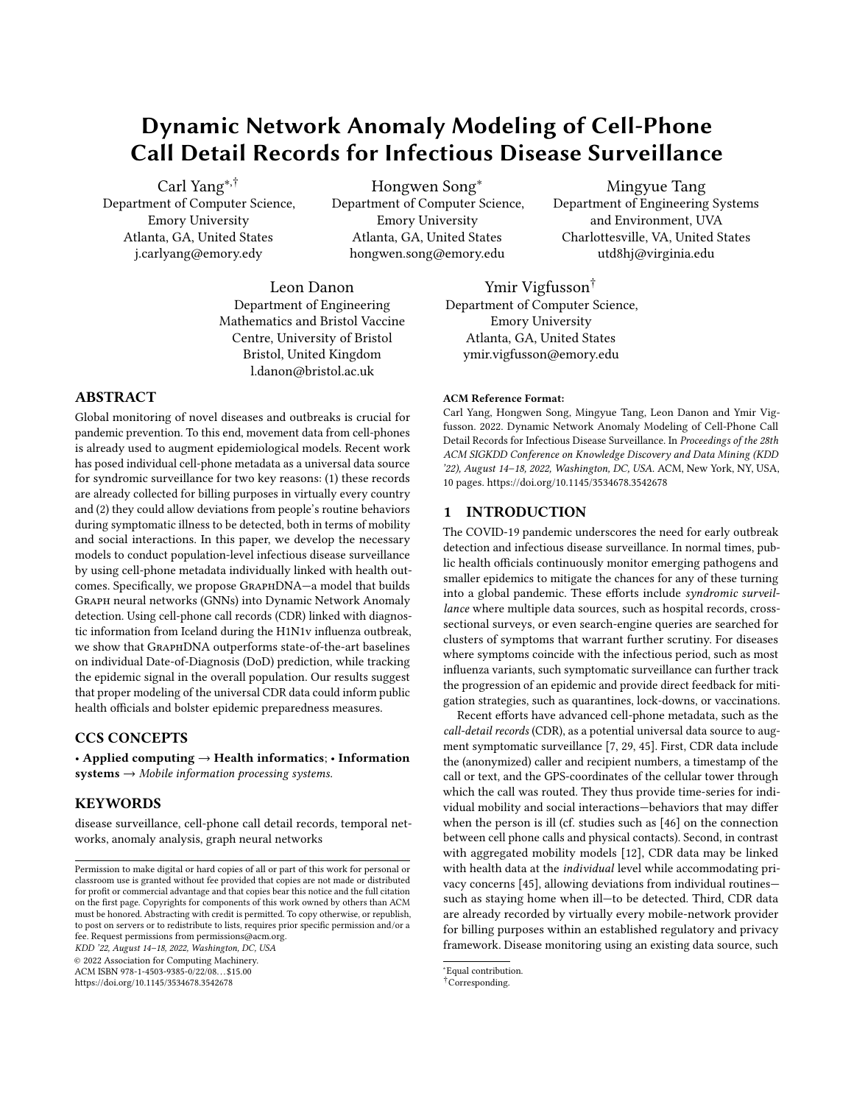Statistical model. While LR provides an e ective way of searching the feature space and nding the inductive bias with the help of training data, it ignores dynamic contexts and is not designed to capture temporal anomalies. On the other hand, anomaly detection has been explored in temporal settings through statistical models such as the Gaussian Tail Probability (GTP) model Following their design, to e ectively detect temporal anomalies from the

-dimensional time-series data of the deviation scores of each individual E<sub>8</sub> (i.e., fB  $_8^{\rm IC}$  j C= 1•2• " " " •)g), we rst apply two rolling windows, 1 and,  $\frac{3}{2}$  of sizes 1 and  $\frac{1}{2}$  as follows

$$
1 = \text{max10-C} \quad 1 \cdot 2^0 \cdot \text{max10-C} \quad 1 \cdot 2^0, \quad 1 \quad 1\frac{1}{4}
$$
\n
$$
1 \quad 2 = \text{max10-C} \quad 2^0 \cdot 2^0 \cdot \text{max10-C} \quad 2^0 \cdot 2^0, \quad 2 \quad 1\frac{1}{4} \quad (6)
$$

where  $1^i$   $2^i$  are two tunable hyper-parameters. We then model the values in, 1 as normal distributions, and use values, ing to compute the recent short-term average. An anomaly likelihood of  $\rm B^{^1C}$  based on the GTP is computed as

$$
?_{8}^{10} = 1 \quad 8 \cdot \frac{\text{mean B}_{8}^{10} \text{ j C2, 2}}{\text{std B}_{8}^{10} \text{ j C2, 1}} \quad (7)
$$

where& represents the Gaussian tail probability approximation function [27]. The total anomaly probability of a on dayCis computed as  $n_8^{10}$  =  $3=1\frac{2}{8}^{100\,13^{\circ}}$ , which is directly used for the prediction of ~8 with the same top- selection mechanism.

Hybrid model. The GTP model adds temporal context to the deviation scores and is thus more suitable for anomaly detection in the dynamic social behavior data. However, the multi-dimensional behavioral features are not parameterized for the task of symptom (DoD) prediction. To this end, we propose a novel hybrid model that combines the power of both worlds by simply replacing the  $B_8^{\rm IC}$  in Eq.(4) with  $?_8^{\rm IC}$  in Eq.(7). Sequence smoothing with $_0$  is no longer needed due to the sliding windows and,  $2$ .

### 3.6 Training Algorithms

The detailed training algorithms of the two modules are outlined in Algorithms 1 and 2. We note that ouGraphDNA framework does not rely on more hyper-parameters than the basic ones for classic GCN, LSTM, LR, and GTP models. In this work, we train the two stages separately and achieve promising results for symptom prediction in the end. Potentially, the two stages can also be trained jointly (iterative or end-to-end), which we leave as an interesting direction for future work.

Complexity analysis. The training of the GCN model in stage one takes  $\binom{1\#2}{1}$  <sup>o</sup> time; the training of the LSTM model takes\$  $\frac{4}{11}$   $\frac{1}{2}$   $\frac{0}{1}$  time in each epoch, where  $\frac{4}{1}$  =  $\frac{1}{1}$   $\frac{4}{1}$  = j+ j. In stage two\$  $1\#$   $2^{1}$  1,  $2^{00}$  time is taken to calculate the GTP, an $\bigoplus_{i=1}^{\infty}$  1#  $2^1$  3<sup>20</sup> time is taken to train the LR model, where # 2 = j+ 2 trainj # = j+ j.)• ! <sup>1</sup>• ! <sup>2</sup>• ! <sup>3</sup>• • • <sup>1</sup>• <sup>2</sup> are all constant numbers) is 364, and all others are smaller than 100.

# 4 EXPERIMENTS

In this section, we evaluat GraphDNA by conducting extensive experiments on the CDR dataset, with a focus on the following research questions (RQs).

Input:  $f^{-1}$ <sup>(3)</sup>  $j$  C= 0• " " " • 0, + = + $\frac{1}{1}$  frain  $[ + \frac{1}{1} + \frac{0}{1}$  + GCN layers! <sub>1</sub>, # LSTM layers <sub>2</sub>, hidden layer sizes Output:  $5^{10}$ •8 $5 \times 2 +$ •C2 f 1•2•"""•)g <sup>1</sup> while not convergedo 2 | for C 0 to <sup>1</sup>) 1º do 3  $^{\mathrm{1C}}$  GCN(  $^{\mathrm{1C}}$  $GCN($ <sup>10</sup>; !<sub>1</sub>, )  $4 \mid$  for  $E_8$  2 + do 5 | | for C 0 to <sup>1</sup>) 1º do <sup>6</sup> 5^ ¹C¸ 1º 8 LSTM( ¹Cº ; ! 2, )  $\begin{array}{|c|c|c|c|}\hline\begin{array}{c} \end{array} & \end{array} & \begin{array}{|c|c|c|}\hline \end{array} & \text{loss} & \text{L} & \begin{array}{l} \text{1}^1\text{f} & \text{5}^1\text{C} \\ \text{9} & \text{9}^1\text{C} \end{array} & \text{1} & \begin{array}{l} \text{5}^1\text{C} & \text{10} \\ \text{10} & \text{10} & \text{10} \end{array} \end{array}$  $8$   $\vert$   $\vert$  Update the GCN and LSTM model parameters  $1$  and  $2$  according to the loss

Algorithm 2: Anomaly-based Disease Prediction (Hybrid) Input: f  $\int_{0}^{10}$  jC= 0• " " " •)g, f  $\frac{A^{10}}{8}$  jE<sub>8</sub> 2 + • C= 1•2• " " " •)g,  $+_{\text{train}}^2$ , # LR layers  $_3$ , hidden layer sizes , GTP window sizes  $1$  and  $2$ Output:  $f4_8^{10}$ •8E $_8$ 2 +•C2 f1•2• " " " •)g 1 while not convergedo 2 | for  $E_8 2 + \frac{2}{\text{train}}$  do  $_3$   $\parallel$  for C 0 to  $^1$ ) 1º do

 $\begin{array}{ccccc} \texttt{4} & & \end{array} \begin{array}{ccc} \texttt{2} & \begin{array}{c} 3^\textsf{1C} & \textsf{1}^\textsf{1} & \textsf{1}^\textsf{2} \end{array} \end{array} \begin{array}{ccc} \texttt{6} & \texttt{6} & \texttt{7} & \texttt{8} \end{array} \begin{array}{ccc} \texttt{8} & \texttt{1} & \texttt{9} & \texttt{2} \end{array} \end{array}$ <sup>5</sup> ~^8 LR ? ¹Cº 8 ;! 3 6  $\begin{array}{|c|c|c|c|c|}\n\hline\n\end{array}$  |  $\begin{array}{c|c|c|c|c} \hline \multicolumn{1}{c|}{\mathsf{loss}} & \multicolumn{1}{c}{\mathsf{L}} & \multicolumn{1}{c}{\mathsf{2}} & \multicolumn{1}{c}{\mathsf{3}}^{\mathsf{1}\mathsf{C}}\bullet\mathsf{4}_{\mathsf{8}}^{\mathsf{1}\mathsf{C}\mathsf{3}}\n\end{array}$ Update the LR model parameters according to the loss

- RQ1 How doesGraphDNA perform compared to closest baselines from state-of-the-art on DoD prediction?
- RQ2 DoesGraphDNA have the potential to be generalized for disease prediction in the larger population?
- RQ3 How does each major component **G**raphDNA contribute to the overall performance?
- RQ4 What are the e ects of dierent tunable model hyper-parameters on GraphDNA?
- RQ5 Is the running time ofGraphDNA comparable to existing methods?

#### 4.1 Experimental Settings

Dataset. The Iceland CDR dataset has a total of 87,773 distinct nodes, and an average of 54,867 nodes and 30,451 links across the 365 graph snapshots. The nodes comprise two types: the 1,414 diagnosed nodes  $^0$  and the remaining non-diagnosed nodes  $+$   $^0$ . There are DoD labels for diagnosed nodes, but we do not know if any individuals in the non-diagnosed set were infected or not. We divide the diagnosed nodes<sup>0</sup> into + $^1_{\text{train}},$  + $^2_{\text{train}},$  + $_{\text{val}},$  and+ $_{\text{test}}$  as discussed in Section 3.3 with a ratio of  $3.\overline{3}:\overline{2}:2$ . We  $\bigcup_{n=1}^{\infty}$  and  $+_{\text{train}}^2$  to train the two stages of our model, respectively.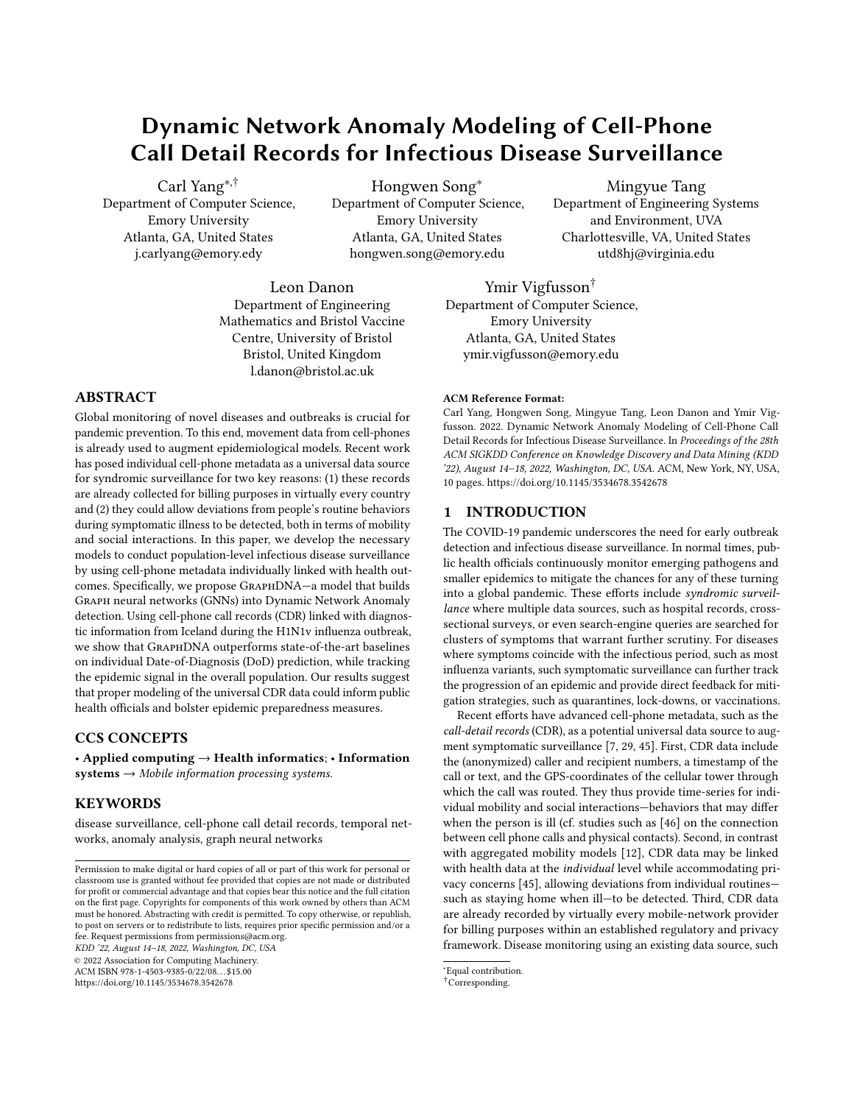|  |  |  | Table 1: Anomaly detection performance comparison. All results are averaged from 5 random data splits, passing signi cance text twith |  |
|--|--|--|---------------------------------------------------------------------------------------------------------------------------------------|--|
|  |  |  |                                                                                                                                       |  |

| Model             | <b>Metrics</b>   |                  |               |                  |                |  |  |
|-------------------|------------------|------------------|---------------|------------------|----------------|--|--|
|                   | Micro Precision  | Micro Recall     | Micro AUC     | Micro F1         | Macro Accuracy |  |  |
| <b>NetWalk</b>    | 0.0529 0.0019    | 0.15990.0028     | 0.50250.0005  | 0.07730.0004     | 0.16720.0007   |  |  |
| LSTM-AD           | 0.0386 0.0035    | 0.28360.0047     | 0.49950.0003  | 0.06670.0003     | 0.30160.0014   |  |  |
| OddBall           | 0.0362 0.0001    | 0.35300.0001     | 0.49880.0001  | 0.06480.0001     | 0.35780.0001   |  |  |
| <b>OCGNN</b>      | 0.1754 0.0009    | 0.54910.0073     | 0.50430.0033  | 0.25860.0043     | 0.57490.0046   |  |  |
| GraphDNA-w/o-GCN  | 0.0490 0.0018    | 0.13560.0006     | 0.06940.0005  | 0.06930.0006     | 0.14410.0013   |  |  |
| GraphDNA-w/o-LSTM | 0.2326 0.0063    | 0.67920.0034     | 0.58550.0040  | 0.33330.0017     | 0.68710.0061   |  |  |
| GraphDNA-w/o-LR   | 0.2138 0.0036    | 0.46520.0063     | 0.57280.0037  | 0.28070.0012     | 0.47230.0029   |  |  |
| GraphDNA-w/o-GTP  | 0.0871 0.0005    | 0.23560.0016     | 0.51670.0022  | 0.12220.0015     | 0.23720.0018   |  |  |
| GraphDNA          | 0.2344<br>0.0106 | 0.6986<br>0.0054 | 0.5895 0.0019 | 0.0019<br>0.3384 | 0.7005 0.0087  |  |  |

Baselines.We adapted the following state-of-the-art algorithms for our task of DoD prediction based on the dynamic cell-phone call graphs constructed from the CDR dataset.

NetWalk[53]: an anomalous node detection method that is closest to our dynamic network setting. It learns and dynamically updates the representations of non-attributed networks as they evolve in an unsupervised manner.

LSTM-AD[33]: an algorithm using stacked LSTM networks for anomaly detection in multi-variate time-series data. Since it cannot model network data, we provide it only with dynamic node features.

OddBall<sup>[3]</sup>: an unsupervised method to detect abnormal nodes in static networks. Since it cannot handle dynamic networks, we compute a separate model of it for every timestamp.

OCGNN[47]: a one-class classication framework that combines GNN with the one-class objective for attributed network anomaly detection in a supervised manner. Since it cannot handle dynamic networks, we compute a separate model for every timestamp.

For the supervised baselines, the sample  $\left[1 + \frac{2}{\tan} \left(1 + \frac{1}{\tan^2 2} + \frac{1}{\tan^2 2} + \frac{1}{\tan^2 2} + \frac{1}{\tan^2 2} + \frac{1}{\tan^2 2} + \frac{1}{\tan^2 2} + \frac{1}{\tan^2 2} + \frac{1}{\tan^2 2} + \frac{1}{\tan^2 2} + \frac{1}{\tan^2 2} + \frac{1}{\tan^2 2} + \frac{1}{\tan^2 2} + \frac{1}{$ used for training,+<sub>val</sub> is used for hyper-parameter tuning, an<del>dest</del> is used for performance reporting. The unsupervised baselines are run on the whole+ and tested on test. When making predictions on  $+_{test}$ , the same top-selection mechanism is used to predict positive DoDs for each individual.

Evaluation metrics. Based on the predicted DoD labels and extended true DoD labels, we compute the following metrics adopted from the standard evaluation of group classications.

Micro Precision, Micro Recall, Micro AUC, and Micro F1, which represent the Precision, Recall, AUC and F1 scores averaged across all the testing individuals  $i$ <sub>ftest</sub>.

Macro Accuracy, which is the percentage of testing individuals in  $+<sub>test</sub>$  who have at least one correct DoD prediction.

The suite of metrics compares prediction results with ground-truth from di erent perspectives, thus comprehensively comparing the performance of evaluated algorithms.

Parameter settings. We tune and set the hyper-parameters of GraphDNA as the following default values: we set the number of GCN layers!  $_1$  to 2, LSTM layers  $_2$  to 1, and LR layers  $_3$  to 2; we set the embedding size of all layers in all models to 16; the sizes of rolling windows in GTP are set to<sub>1</sub> = 100and  $2 = 3$ . To ensure fair comparison, we use the same hyper-parameters for

Figure 4: Average disease scores (ADS) of diagnosed group and whole population vs. daily diagnosed number (DDN) in the period of 2009 H1N1v outbreak in Iceland. Thin lines denote the medians/values of the ADS/DDN, thick lines indicate the smoothed medians/values, and shading delineates the <sup>1</sup><sup>8</sup> duantiles of the ADS.

all of our model ablations. For the baselines, we also optimize their hyper-parameters  $or<sub>val</sub>$ .

# 4.2 DoD Prediction Comparison (RQ1)

Table 1 shows thaGraphDNA achieves the best performance across all metrics in the scenario of CDR-based DoD prediction. We highlight the following detailed observations.

While not being fully consistent across the baselines, the multiple metrics we use demonstrate the same signi cant improvements of GraphDNA. Speci cally, GraphDNA achieves 16.9%-33.6% relative gains over the strongest baseline across all metrics, indicating its superiority in the task of CDR-based DoD prediction. Although we have included the most relevant algorithms as baselines, none of them can properly integrate all important signals in our scenario, thus leading to unsatisfactory results across all metrics.

Compared with LSTM-AD and OddBall, NetWalk focuses on structural anomalies and make cautious predictions, thus achieving better precision but worse recall.

OCGNN is the strongest baseline, likely due to its proper leverage of imbalanced task supervision, which indicates the importance of available DoD labels from the CDR data.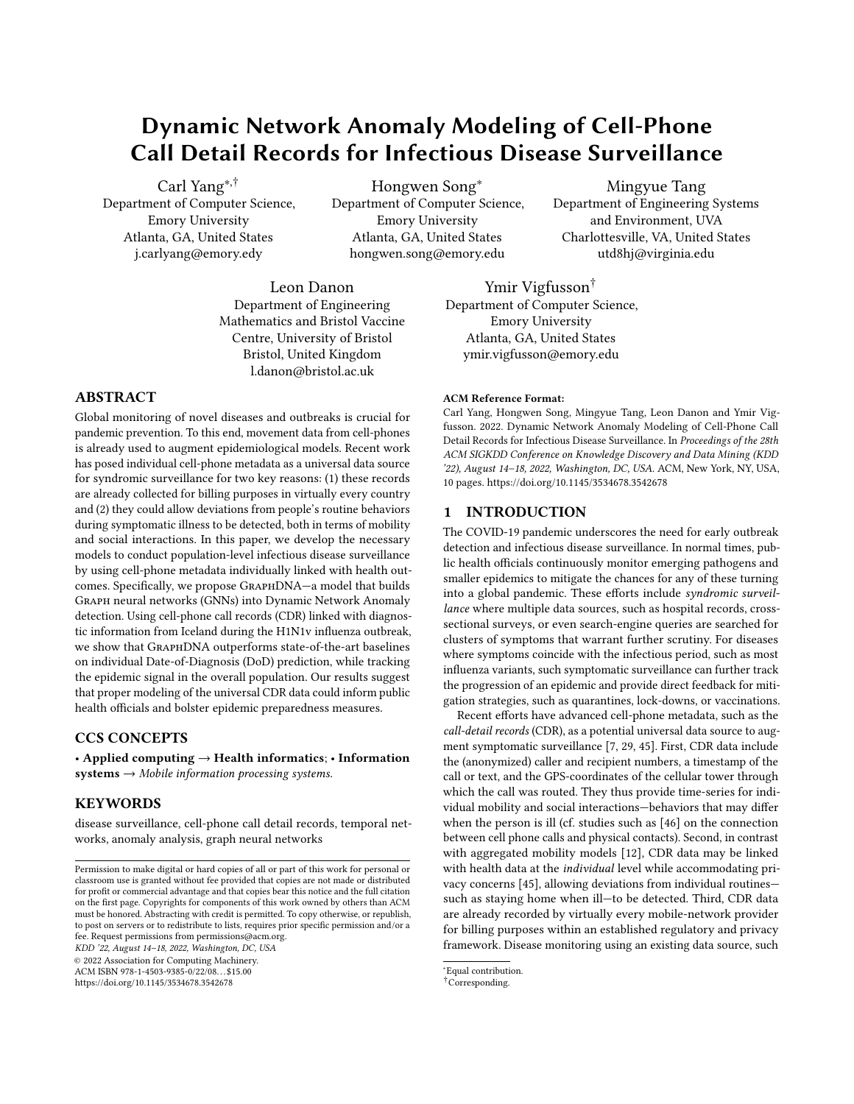(a) Hidden Layer Sizes (b)  $\#$  LSTM Layers 2 (c)  $\#$  LR Layers 3

Figure 5: Performance G6raphDNAwith varying hyper-parameters (averaged from 5 random data splits). The best baseline here is OCGNN.

### 4.3 Anomaly Curve during Epidemic (RQ2)

Beyond predicting the DoD of diagnosed people, we examine the potential of GraphDNA to estimate wider disease infection among the entire population. In Figure 4, we visualize the average disease score (ADS) in the diagnosed group  $f_{\text{st}}$  and the whole population (+ ) predicted byGraphDNA, versus the diagnosed number (DDN) in the ground-truth of+ <sup>0</sup>. The main peak of th**e**GraphDNA ADS estimate among the diagnosed group coincides with the ground-truth peak of H1N1v outbreak in Iceland in October 2009, suggesting that the ADS model captures behavioral anomalies associated with illness. The model also picks up anomalies during the winter holidays in December 2009. Interestingly, a small but signi cant anomaly signal also arises in the whole population during the epidemic (green curve). Notably, the model was not picking up time-of-year related artefacts, as evidenced by the baseline (orange curve) showing ADS inference by the same model trained on a control group in which we matched an undiagnosed person with each diagnosed person 1:1 at random and assigned them the latter's DoD. This supports the conclusion that the model is identifying illness-speci c anomalies in the whole population a promising information source. We caution, however, that further research is warranted for predictive epidemic estimation since the ADS scores in our model are based on training data from the entire 1-year period.

# 4.4 In-depth Model Analysis (RQ3-5)

Ablation analysis (RQ3). Table 1 also shows that each constituent part of GraphDNA contributes signi cantly to its overall performance. We further summarize several key observations as follows.

Removing the GCN model causes the most signi cant performance drop, demonstrating the importance of modeling the neighborhood behaviors for DoD prediction the key di erence from our work to previous studies on the same CDR dataset. Surprisingly, removing the LSTM model actually does not signi cantly degrade performance consistent with the reasonable performance of OCGNN. Perhaps evolutionary patterns are not be a key factor for DoD prediction; perhaps LSTM is not the ideal model to capture such network evolution. Both the LR and GTP models are indispensable taphDNA,

supporting our design principle of integrating the e ective datadriven learning ability of LR with the anomaly-based feature engineering of GTP.

In summary, the ablation test justi es the e ciency of our model design. Each of the main components contributes to the accuracy and robustness oGraphDNA.

Hyper-parameter analysis (RQ4). Comprehensive experiments are done for hyper-parameter tuning, and the results are presented in Figure 5. We runGraphDNA with various combinations of hyper-parameters and plot the performances holding each hyperparameter to be xed. We highlight three important observations:

The hyper-parameters we tested have minimal impact on the performance ofGraphDNA, maintaining signi cant margins from the best baseline across a vast range of values. Larger embedding sizes, fewer LSTM layers, and fewer LR layers generally improve results due to di erent trade-o s between model capacity and over tting.

The standard deviations remain acceptable across di erent settings, indicating thatGraphDNA's hyper-parameter are robust.

Due to the diculty in implementing and running deep GCNs, we have not studied the performance GraphDNA with the number of GCN layers  $_1$  greater than 2. While having signi cantly larger training and testing times, we have observed the performance of GCN with !  $_1$  = 2 to be only slightly better than that with  $_1$  = 1, and thus lack compelling need to grow beyond 2 at the moment.

Eciency analysis (RQ5). We observe the computational cost of GraphDNA to be similar to those of OCGNN, which is slightly larger than those of LSTM-AD and NetWalk, yet within the same order of magnitude (detailed results and analysis in Appendix B).

# 5 CONCLUSION

Disease outbreak detection is di cult: population surveys are slow and skewed, and traditional syndromic surveillance requires the integration of a health-care data collection system with a responsive public health body to function adequately. Detecting behavioral anomalies through cell-phone metadata, as discussed here, o ers a passive and universal alternative to infectious disease surveillance. Using real-world linked cell-phone and health data from the H1N1v pandemic in Iceland in 2009, we showed howaphDNA identi ed individual behavior change indicative of disease symptoms and found evidence of illness-related anomalies in the entire population that could be used to track the prevalence of symptoms. These estimates could inform transmission models, policy choices (e.g., targeted lockdowns, quarantines, vaccination campaigns) and provide direct observation of societal costs.

# 6 ACKNOWLEDGEMENTS

We thank the anonymous reviewers of our manuscript for constructive feedback, and past members and a liates of Emory SimBioSys